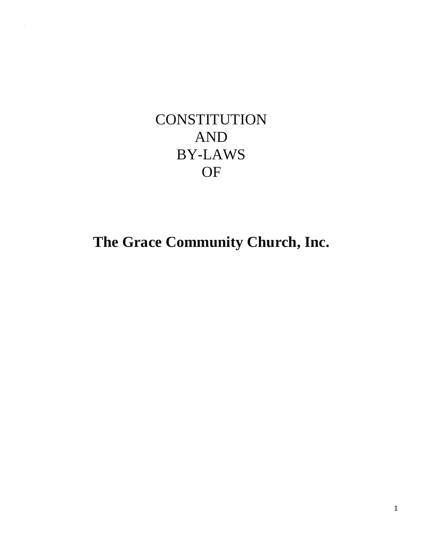# **CONSTITUTION** AND BY-LAWS OF

"

**The Grace Community Church, Inc.**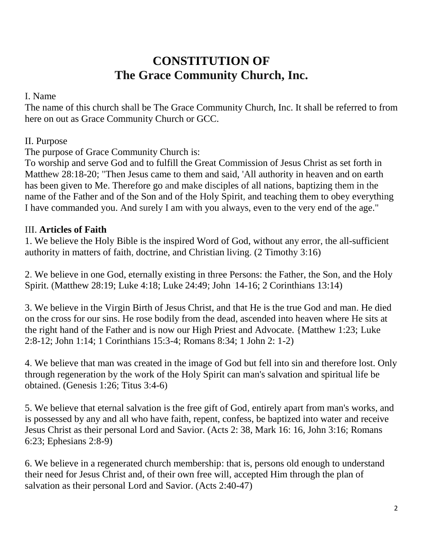## **CONSTITUTION OF The Grace Community Church, Inc.**

#### I. Name

The name of this church shall be The Grace Community Church, Inc. It shall be referred to from here on out as Grace Community Church or GCC.

#### II. Purpose

The purpose of Grace Community Church is:

To worship and serve God and to fulfill the Great Commission of Jesus Christ as set forth in Matthew 28:18-20; "Then Jesus came to them and said, 'All authority in heaven and on earth has been given to Me. Therefore go and make disciples of all nations, baptizing them in the name of the Father and of the Son and of the Holy Spirit, and teaching them to obey everything I have commanded you. And surely I am with you always, even to the very end of the age."

#### III. **Articles of Faith**

1. We believe the Holy Bible is the inspired Word of God, without any error, the all-sufficient authority in matters of faith, doctrine, and Christian living. (2 Timothy 3:16)

2. We believe in one God, eternally existing in three Persons: the Father, the Son, and the Holy Spirit. (Matthew 28:19; Luke 4:18; Luke 24:49; John '14-16; 2 Corinthians 13:14)

3. We believe in the Virgin Birth of Jesus Christ, and that He is the true God and man. He died on the cross for our sins. He rose bodily from the dead, ascended into heaven where He sits at the right hand of the Father and is now our High Priest and Advocate. {Matthew 1:23; Luke 2:8-12; John 1:14; 1 Corinthians 15:3-4; Romans 8:34; 1 John 2: 1-2)

4. We believe that man was created in the image of God but fell into sin and therefore lost. Only through regeneration by the work of the Holy Spirit can man's salvation and spiritual life be obtained. (Genesis 1:26; Titus 3:4-6)

5. We believe that eternal salvation is the free gift of God, entirely apart from man's works, and is possessed by any and all who have faith, repent, confess, be baptized into water and receive Jesus Christ as their personal Lord and Savior. (Acts 2: 38, Mark 16: 16, John 3:16; Romans 6:23; Ephesians 2:8-9)

6. We believe in a regenerated church membership: that is, persons old enough to understand their need for Jesus Christ and, of their own free will, accepted Him through the plan of salvation as their personal Lord and Savior. (Acts 2:40-47)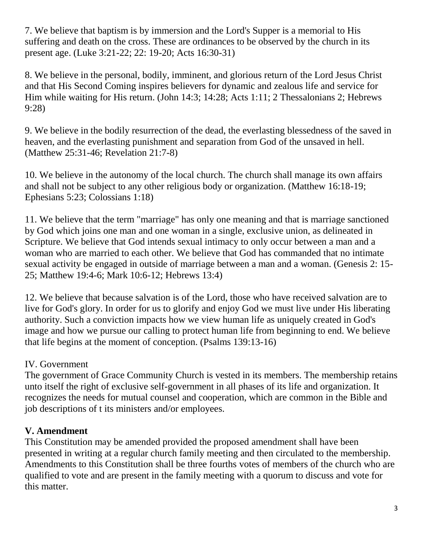7. We believe that baptism is by immersion and the Lord's Supper is a memorial to His suffering and death on the cross. These are ordinances to be observed by the church in its present age. (Luke 3:21-22; 22: 19-20; Acts 16:30-31)

8. We believe in the personal, bodily, imminent, and glorious return of the Lord Jesus Christ and that His Second Coming inspires believers for dynamic and zealous life and service for Him while waiting for His return. (John 14:3; 14:28; Acts 1:11; 2 Thessalonians 2; Hebrews 9:28)

9. We believe in the bodily resurrection of the dead, the everlasting blessedness of the saved in heaven, and the everlasting punishment and separation from God of the unsaved in hell. (Matthew 25:31-46; Revelation 21:7-8)

10. We believe in the autonomy of the local church. The church shall manage its own affairs and shall not be subject to any other religious body or organization. (Matthew 16:18-19; Ephesians 5:23; Colossians 1:18)

11. We believe that the term "marriage" has only one meaning and that is marriage sanctioned by God which joins one man and one woman in a single, exclusive union, as delineated in Scripture. We believe that God intends sexual intimacy to only occur between a man and a woman who are married to each other. We believe that God has commanded that no intimate sexual activity be engaged in outside of marriage between a man and a woman. (Genesis 2: 15- 25; Matthew 19:4-6; Mark 10:6-12; Hebrews 13:4)

12. We believe that because salvation is of the Lord, those who have received salvation are to live for God's glory. In order for us to glorify and enjoy God we must live under His liberating authority. Such a conviction impacts how we view human life as uniquely created in God's image and how we pursue our calling to protect human life from beginning to end. We believe that life begins at the moment of conception. (Psalms 139:13-16)

#### IV. Government

The government of Grace Community Church is vested in its members. The membership retains unto itself the right of exclusive self-government in all phases of its life and organization. It recognizes the needs for mutual counsel and cooperation, which are common in the Bible and job descriptions of t its ministers and/or employees.

#### **V. Amendment**

This Constitution may be amended provided the proposed amendment shall have been presented in writing at a regular church family meeting and then circulated to the membership. Amendments to this Constitution shall be three fourths votes of members of the church who are qualified to vote and are present in the family meeting with a quorum to discuss and vote for this matter.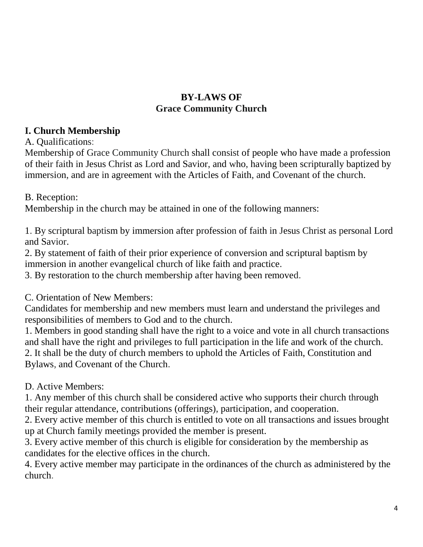#### **BY-LAWS OF Grace Community Church**

#### **I. Church Membership**

A. Qualifications:

Membership of Grace Community Church shall consist of people who have made a profession of their faith in Jesus Christ as Lord and Savior, and who, having been scripturally baptized by immersion, and are in agreement with the Articles of Faith, and Covenant of the church.

B. Reception:

Membership in the church may be attained in one of the following manners:

1. By scriptural baptism by immersion after profession of faith in Jesus Christ as personal Lord and Savior.

2. By statement of faith of their prior experience of conversion and scriptural baptism by immersion in another evangelical church of like faith and practice.

3. By restoration to the church membership after having been removed.

#### C. Orientation of New Members:

Candidates for membership and new members must learn and understand the privileges and responsibilities of members to God and to the church.

1. Members in good standing shall have the right to a voice and vote in all church transactions and shall have the right and privileges to full participation in the life and work of the church. 2. It shall be the duty of church members to uphold the Articles of Faith, Constitution and Bylaws, and Covenant of the Church.

D. Active Members:

1. Any member of this church shall be considered active who supports their church through their regular attendance, contributions (offerings), participation, and cooperation.

2. Every active member of this church is entitled to vote on all transactions and issues brought up at Church family meetings provided the member is present.

3. Every active member of this church is eligible for consideration by the membership as candidates for the elective offices in the church.

4. Every active member may participate in the ordinances of the church as administered by the church.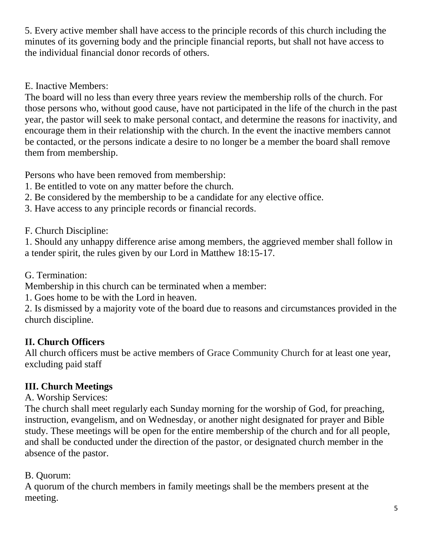5. Every active member shall have access to the principle records of this church including the minutes of its governing body and the principle financial reports, but shall not have access to the individual financial donor records of others.

E. Inactive Members:

The board will no less than every three years review the membership rolls of the church. For those persons who, without good cause, have not participated in the life of the church in the past year, the pastor will seek to make personal contact, and determine the reasons for inactivity, and encourage them in their relationship with the church. In the event the inactive members cannot be contacted, or the persons indicate a desire to no longer be a member the board shall remove them from membership.

Persons who have been removed from membership:

- 1. Be entitled to vote on any matter before the church.
- 2. Be considered by the membership to be a candidate for any elective office.
- 3. Have access to any principle records or financial records.

F. Church Discipline:

1. Should any unhappy difference arise among members, the aggrieved member shall follow in a tender spirit, the rules given by our Lord in Matthew 18:15-17.

G. Termination:

Membership in this church can be terminated when a member:

1. Goes home to be with the Lord in heaven.

2. Is dismissed by a majority vote of the board due to reasons and circumstances provided in the church discipline.

### **II. Church Officers**

All church officers must be active members of Grace Community Church for at least one year, excluding paid staff

### **III. Church Meetings**

A. Worship Services:

The church shall meet regularly each Sunday morning for the worship of God, for preaching, instruction, evangelism, and on Wednesday, or another night designated for prayer and Bible study. These meetings will be open for the entire membership of the church and for all people, and shall be conducted under the direction of the pastor, or designated church member in the absence of the pastor.

### B. Quorum:

A quorum of the church members in family meetings shall be the members present at the meeting.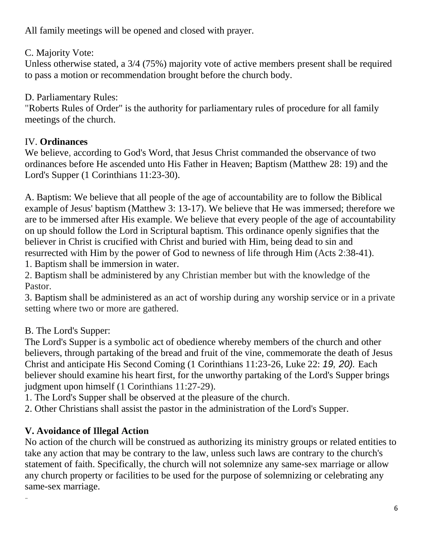All family meetings will be opened and closed with prayer.

C. Majority Vote:

Unless otherwise stated, a 3/4 (75%) majority vote of active members present shall be required to pass a motion or recommendation brought before the church body.

D. Parliamentary Rules:

"Roberts Rules of Order" is the authority for parliamentary rules of procedure for all family meetings of the church.

### IV. **Ordinances**

We believe, according to God's Word, that Jesus Christ commanded the observance of two ordinances before He ascended unto His Father in Heaven; Baptism (Matthew 28: 19) and the Lord's Supper (1 Corinthians 11:23-30).

A. Baptism: We believe that all people of the age of accountability are to follow the Biblical example of Jesus' baptism (Matthew 3: 13-17). We believe that He was immersed; therefore we are to be immersed after His example. We believe that every people of the age of accountability on up should follow the Lord in Scriptural baptism. This ordinance openly signifies that the believer in Christ is crucified with Christ and buried with Him, being dead to sin and resurrected with Him by the power of God to newness of life through Him (Acts 2:38-41).

1. Baptism shall be immersion in water.

2. Baptism shall be administered by any Christian member but with the knowledge of the Pastor.

3. Baptism shall be administered as an act of worship during any worship service or in a private setting where two or more are gathered.

### B. The Lord's Supper:

The Lord's Supper is a symbolic act of obedience whereby members of the church and other believers, through partaking of the bread and fruit of the vine, commemorate the death of Jesus Christ and anticipate His Second Coming (1 Corinthians 11:23-26, Luke 22: *19, 20).* Each believer should examine his heart first, for the unworthy partaking of the Lord's Supper brings judgment upon himself (1 Corinthians 11:27-29).

1. The Lord's Supper shall be observed at the pleasure of the church.

2. Other Christians shall assist the pastor in the administration of the Lord's Supper.

### **V. Avoidance of Illegal Action**

-

No action of the church will be construed as authorizing its ministry groups or related entities to take any action that may be contrary to the law, unless such laws are contrary to the church's statement of faith. Specifically, the church will not solemnize any same-sex marriage or allow any church property or facilities to be used for the purpose of solemnizing or celebrating any same-sex marriage.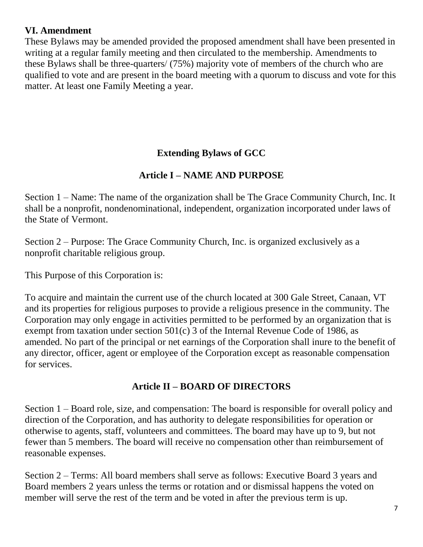#### **VI. Amendment**

These Bylaws may be amended provided the proposed amendment shall have been presented in writing at a regular family meeting and then circulated to the membership. Amendments to these Bylaws shall be three-quarters/ (75%) majority vote of members of the church who are qualified to vote and are present in the board meeting with a quorum to discuss and vote for this matter. At least one Family Meeting a year.

### **Extending Bylaws of GCC**

### **Article I – NAME AND PURPOSE**

Section 1 – Name: The name of the organization shall be The Grace Community Church, Inc. It shall be a nonprofit, nondenominational, independent, organization incorporated under laws of the State of Vermont.

Section 2 – Purpose: The Grace Community Church, Inc. is organized exclusively as a nonprofit charitable religious group.

This Purpose of this Corporation is:

To acquire and maintain the current use of the church located at 300 Gale Street, Canaan, VT and its properties for religious purposes to provide a religious presence in the community. The Corporation may only engage in activities permitted to be performed by an organization that is exempt from taxation under section 501(c) 3 of the Internal Revenue Code of 1986, as amended. No part of the principal or net earnings of the Corporation shall inure to the benefit of any director, officer, agent or employee of the Corporation except as reasonable compensation for services.

### **Article II – BOARD OF DIRECTORS**

Section 1 – Board role, size, and compensation: The board is responsible for overall policy and direction of the Corporation, and has authority to delegate responsibilities for operation or otherwise to agents, staff, volunteers and committees. The board may have up to 9, but not fewer than 5 members. The board will receive no compensation other than reimbursement of reasonable expenses.

Section 2 – Terms: All board members shall serve as follows: Executive Board 3 years and Board members 2 years unless the terms or rotation and or dismissal happens the voted on member will serve the rest of the term and be voted in after the previous term is up.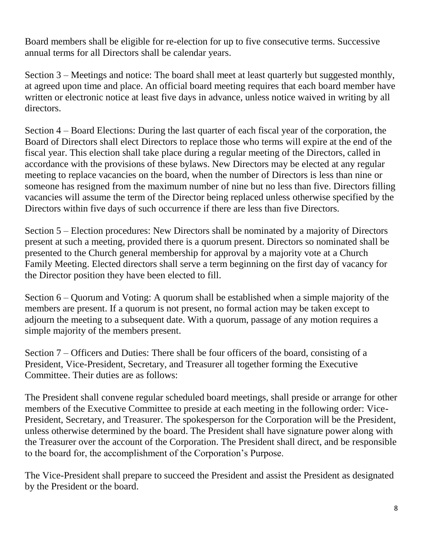Board members shall be eligible for re-election for up to five consecutive terms. Successive annual terms for all Directors shall be calendar years.

Section 3 – Meetings and notice: The board shall meet at least quarterly but suggested monthly, at agreed upon time and place. An official board meeting requires that each board member have written or electronic notice at least five days in advance, unless notice waived in writing by all directors.

Section 4 – Board Elections: During the last quarter of each fiscal year of the corporation, the Board of Directors shall elect Directors to replace those who terms will expire at the end of the fiscal year. This election shall take place during a regular meeting of the Directors, called in accordance with the provisions of these bylaws. New Directors may be elected at any regular meeting to replace vacancies on the board, when the number of Directors is less than nine or someone has resigned from the maximum number of nine but no less than five. Directors filling vacancies will assume the term of the Director being replaced unless otherwise specified by the Directors within five days of such occurrence if there are less than five Directors.

Section 5 – Election procedures: New Directors shall be nominated by a majority of Directors present at such a meeting, provided there is a quorum present. Directors so nominated shall be presented to the Church general membership for approval by a majority vote at a Church Family Meeting. Elected directors shall serve a term beginning on the first day of vacancy for the Director position they have been elected to fill.

Section 6 – Quorum and Voting: A quorum shall be established when a simple majority of the members are present. If a quorum is not present, no formal action may be taken except to adjourn the meeting to a subsequent date. With a quorum, passage of any motion requires a simple majority of the members present.

Section 7 – Officers and Duties: There shall be four officers of the board, consisting of a President, Vice-President, Secretary, and Treasurer all together forming the Executive Committee. Their duties are as follows:

The President shall convene regular scheduled board meetings, shall preside or arrange for other members of the Executive Committee to preside at each meeting in the following order: Vice-President, Secretary, and Treasurer. The spokesperson for the Corporation will be the President, unless otherwise determined by the board. The President shall have signature power along with the Treasurer over the account of the Corporation. The President shall direct, and be responsible to the board for, the accomplishment of the Corporation's Purpose.

The Vice-President shall prepare to succeed the President and assist the President as designated by the President or the board.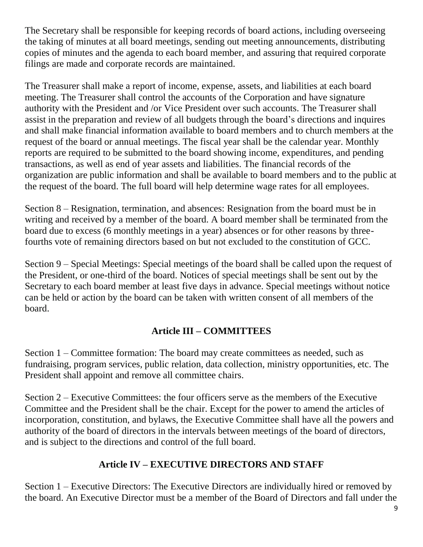The Secretary shall be responsible for keeping records of board actions, including overseeing the taking of minutes at all board meetings, sending out meeting announcements, distributing copies of minutes and the agenda to each board member, and assuring that required corporate filings are made and corporate records are maintained.

The Treasurer shall make a report of income, expense, assets, and liabilities at each board meeting. The Treasurer shall control the accounts of the Corporation and have signature authority with the President and /or Vice President over such accounts. The Treasurer shall assist in the preparation and review of all budgets through the board's directions and inquires and shall make financial information available to board members and to church members at the request of the board or annual meetings. The fiscal year shall be the calendar year. Monthly reports are required to be submitted to the board showing income, expenditures, and pending transactions, as well as end of year assets and liabilities. The financial records of the organization are public information and shall be available to board members and to the public at the request of the board. The full board will help determine wage rates for all employees.

Section 8 – Resignation, termination, and absences: Resignation from the board must be in writing and received by a member of the board. A board member shall be terminated from the board due to excess (6 monthly meetings in a year) absences or for other reasons by threefourths vote of remaining directors based on but not excluded to the constitution of GCC.

Section 9 – Special Meetings: Special meetings of the board shall be called upon the request of the President, or one-third of the board. Notices of special meetings shall be sent out by the Secretary to each board member at least five days in advance. Special meetings without notice can be held or action by the board can be taken with written consent of all members of the board.

### **Article III – COMMITTEES**

Section 1 – Committee formation: The board may create committees as needed, such as fundraising, program services, public relation, data collection, ministry opportunities, etc. The President shall appoint and remove all committee chairs.

Section 2 – Executive Committees: the four officers serve as the members of the Executive Committee and the President shall be the chair. Except for the power to amend the articles of incorporation, constitution, and bylaws, the Executive Committee shall have all the powers and authority of the board of directors in the intervals between meetings of the board of directors, and is subject to the directions and control of the full board.

### **Article IV – EXECUTIVE DIRECTORS AND STAFF**

Section 1 – Executive Directors: The Executive Directors are individually hired or removed by the board. An Executive Director must be a member of the Board of Directors and fall under the